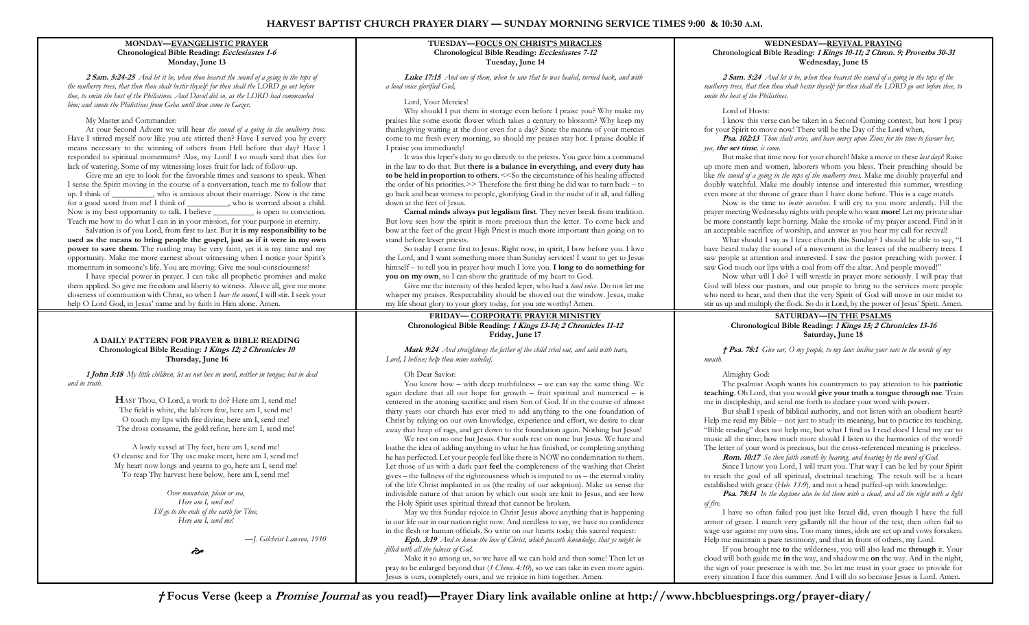## **MONDAY³EVANGELISTIC PRAYER Chronological Bible Reading: Ecclesiastes 1-6 Monday, June 13**

**2 Sam. 5:24-25** *And let it be, when thou hearest the sound of a going in the tops of the mulberry trees, that then thou shalt bestir thyself: for then shall the LORD go out before thee, to smite the host of the Philistines. And David did so, as the LORD had commanded him; and smote the Philistines from Geba until thou come to Gazer.*

### My Master and Commander:

At your Second Advent we will hear *the sound of a going in the mulberry trees.* Have I stirred myself now like you are stirred then? Have I served you by every means necessary to the winning of others from Hell before that day? Have I responded to spiritual momentum? Alas, my Lord! I so much seed that dies for lack of watering. Some of my witnessing loses fruit for lack of follow-up.

Give me an eye to look for the favorable times and seasons to speak. When I sense the Spirit moving in the course of a conversation, teach me to follow that up. I think of who is anxious about their marriage. Now is the time for a good word from me! I think of who is worried about a child. Now is my best opportunity to talk. I believe \_\_\_\_\_\_\_\_\_\_ is open to conviction. Teach me how to do what I can in in your mission, for your purpose in eternity.

Salvation is of you Lord, from first to last. But **it is my responsibility to be used as the means to bring people the gospel, just as if it were in my own power to save them**. The rustling may be very faint, yet it is my time and my opportunity. Make me more earnest about witnessing when I notice your Spirit's momentum in someone's life. You are moving. Give me soul-consciousness!

I have special power in prayer. I can take all prophetic promises and make them applied. So give me freedom and liberty to witness. Above all, give me more closeness of communion with Christ, so when I *hear the sound*, I will stir. I seek your help O Lord God, in Jesus' name and by faith in Him alone. Amen.

#### **A DAILY PATTERN FOR PRAYER & BIBLE READING Chronological Bible Reading: 1 Kings 12; 2 Chronicles 10 Thursday, June 16**

**1 John 3:18** *My little children, let us not love in word, neither in tongue; but in deed and in truth.* 

> **H**AST Thou, O Lord, a work to do? Here am I, send me! The field is white, the lab'rers few, here am I, send me! O touch my lips with fire divine, here am I, send me! The dross consume, the gold refine, here am I, send me!

A lowly vessel at Thy feet, here am I, send me! O cleanse and for Thy use make meet, here am I, send me! My heart now longs and yearns to go, here am I, send me! To reap Thy harvest here below, here am I, send me!

> *Over mountain, plain or sea, Here am I, send me! I'll go to the ends of the earth for Thee, Here am I, send me!*

> > *³J. Gilchrist Lawson, 1910*

ò

# **TUESDAY-FOCUS ON CHRIST'S MIRACLES Chronological Bible Reading: Ecclesiastes 7-12 Tuesday, June 14**

**Luke 17:15** *And one of them, when he saw that he was healed, turned back, and with a loud voice glorified God,*

## Lord, Your Mercies!

Why should I put them in storage even before I praise you? Why make my praises like some exotic flower which takes a century to blossom? Why keep my thanksgiving waiting at the door even for a day? Since the manna of your mercies come to me fresh every morning, so should my praises stay hot. I praise double if I praise you immediately!

It was this leper's duty to go directly to the priests. You gave him a command in the law to do that. But **there is a balance in everything, and every duty has to be held in proportion to others**. <<So the circumstance of his healing affected the order of his priorities. $\geq$  Therefore the first thing he did was to turn back  $-$  to go back and bear witness to people, glorifying God in the midst of it all, and falling down at the feet of Jesus.

**Carnal minds always put legalism first**. They never break from tradition. But love sees how the spirit is more precious than the letter. To come back and bow at the feet of the great High Priest is much more important than going on to stand before lesser priests.

So today I come first to Jesus. Right now, in spirit, I bow before you. I love the Lord, and I want something more than Sunday services! I want to get to Jesus himself - to tell you in prayer how much I love you. **I long to do something for you on my own**, so I can show the gratitude of my heart to God.

Give me the intensity of this healed leper, who had a *loud voice*. Do not let me whisper my praises. Respectability should be shoved out the window. Jesus, make my life shout glory to your glory today, for you are worthy! Amen.

## **FRIDAY³ CORPORATE PRAYER MINISTRY Chronological Bible Reading: 1 Kings 13-14; 2 Chronicles 11-12 Friday, June 17**

**Mark 9:24** *And straightway the father of the child cried out, and said with tears, Lord, I believe; help thou mine unbelief.*

# Oh Dear Savior:

You know how  $-$  with deep truthfulness  $-$  we can say the same thing. We again declare that all our hope for growth  $-$  fruit spiritual and numerical  $-$  is centered in the atoning sacrifice and risen Son of God. If in the course of almost thirty years our church has ever tried to add anything to the one foundation of Christ by relying on our own knowledge, experience and effort, we desire to clear away that heap of rags, and get down to the foundation again. Nothing but Jesus!

We rest on no one but Jesus. Our souls rest on none but Jesus. We hate and loathe the idea of adding anything to what he has finished, or completing anything he has perfected. Let your people feel like there is NOW no condemnation to them. Let those of us with a dark past **feel** the completeness of the washing that Christ  $gives$  – the fullness of the righteousness which is imputed to us – the eternal vitality of the life Christ implanted in us (the reality of our adoption). Make us sense the indivisible nature of that union by which our souls are knit to Jesus, and see how the Holy Spirit uses spiritual thread that cannot be broken.

May we this Sunday rejoice in Christ Jesus above anything that is happening in our life our in our nation right now. And needless to say, we have no confidence in the flesh or human officials. So write on our hearts today this sacred request:

**Eph. 3:19** *And to know the love of Christ, which passeth knowledge, that ye might be filled with all the fulness of God.*

Make it so among us, so we have all we can hold and then some! Then let us pray to be enlarged beyond that (*1 Chron. 4:10*), so we can take in even more again. Jesus is ours, completely ours, and we rejoice in him together. Amen.

### **WEDNESDAY³REVIVAL PRAYING Chronological Bible Reading: 1 Kings 10-11; 2 Chron. 9; Proverbs 30-31 Wednesday, June 15**

**2 Sam. 5:24** *And let it be, when thou hearest the sound of a going in the tops of the mulberry trees, that then thou shalt bestir thyself: for then shall the LORD go out before thee, to smite the host of the Philistines.*

# Lord of Hosts:

I know this verse can be taken in a Second Coming context, but how I pray for your Spirit to move now! There will be the Day of the Lord when,

**Psa. 102:13** *Thou shalt arise, and have mercy upon Zion: for the time to favour her, yea,* **the set time***, is come.*

But make that time now for your church! Make a move in these *last days*! Raise up more men and women, laborers whom you bless. Their preaching should be like *the sound of a going in the tops of the mulberry trees.* Make me doubly prayerful and doubly watchful. Make me doubly intense and interested this summer, wrestling even more at the throne of grace than I have done before. This is a cage match.

Now is the time to *bestir ourselves*. I will cry to you more ardently. Fill the prayer meeting Wednesday nights with people who want **more**! Let my private altar be more constantly kept burning. Make the smoke of my prayer ascend. Find in it an acceptable sacrifice of worship, and answer as you hear my call for revival!

What should I say as I leave church this Sunday? I should be able to say, "I have heard today the sound of a movement in the leaves of the mulberry trees. I saw people at attention and interested. I saw the pastor preaching with power. I saw God touch our lips with a coal from off the altar. And people moved!"

Now what will I do? I will wrestle in prayer more seriously. I will pray that God will bless our pastors, and our people to bring to the services more people who need to hear, and then that the very Spirit of God will move in our midst to stir us up and multiply the flock. So do it Lord, by the power of Jesus' Spirit. Amen.

#### **SATURDAY-IN THE PSALMS Chronological Bible Reading: 1 Kings 15; 2 Chronicles 13-16 Saturday, June 18**

*† Psa. 78:1 Give ear, O my people, to my law: incline your ears to the words of my mouth.*

# Almighty God:

The psalmist Asaph wants his countrymen to pay attention to his **patriotic teaching**. Oh Lord, that you would **give your truth a tongue through me**. Train me in discipleship, and send me forth to declare your word with power.

But shall I speak of biblical authority, and not listen with an obedient heart? Help me read my Bible - not just to study its meaning, but to practice its teaching. "Bible reading" does not help me, but what I find as I read does! I lend my ear to music all the time; how much more should I listen to the harmonies of the word? The letter of your word is precious, but the cross-referenced meaning is priceless.

**Rom. 10:17** *So then faith cometh by hearing, and hearing by the word of God.*

Since I know you Lord, I will trust you. That way I can be led by your Spirit to reach the goal of all spiritual, doctrinal teaching. The result will be a heart established with grace (*Heb. 13:9*), and not a head puffed-up with knowledge.

**Psa. 78:14** *In the daytime also he led them with a cloud, and all the night with a light of fire.*

I have so often failed you just like Israel did, even though I have the full armor of grace. I march very gallantly till the hour of the test, then often fail to wage war against my own sins. Too many times, idols are set up and vows forsaken. Help me maintain a pure testimony, and that in front of others, my Lord.

If you brought me **to** the wilderness, you will also lead me **through** it. Your cloud will both guide me **in** the way, and shadow me **on** the way. And in the night, the sign of your presence is with me. So let me trust in your grace to provide for every situation I face this summer. And I will do so because Jesus is Lord. Amen.

**Focus Verse (keep a Promise Journal as you read!)³Prayer Diary link available online at http://www.hbcbluesprings.org/prayer-diary/**